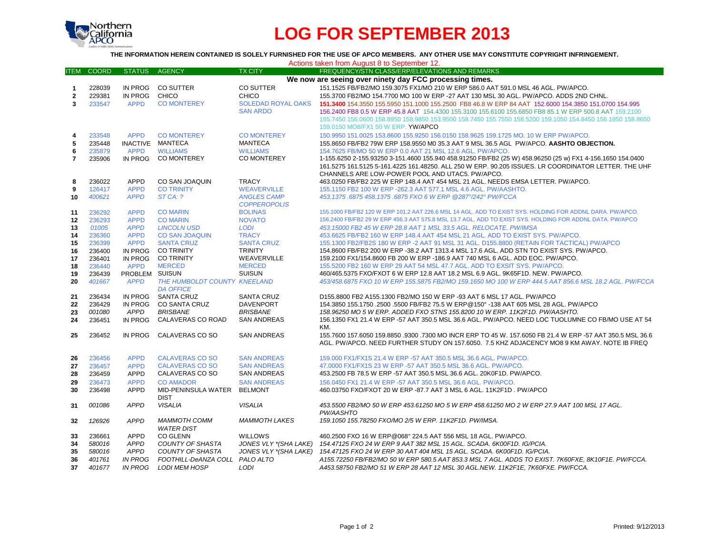

# **LOG FOR SEPTEMBER 2013**

### **THE INFORMATION HEREIN CONTAINED IS SOLELY FURNISHED FOR THE USE OF APCO MEMBERS. ANY OTHER USE MAY CONSTITUTE COPYRIGHT INFRINGEMENT.**

|  | Actions taken from August 8 to September 12. |  |
|--|----------------------------------------------|--|
|--|----------------------------------------------|--|

| <b>ITEM</b>    | <b>COORD</b> | <b>STATUS</b>  | <b>AGENCY</b>                         | <b>TX CITY</b>               | FREQUENCY/STN CLASS/ERP/ELEVATIONS AND REMARKS                                                              |
|----------------|--------------|----------------|---------------------------------------|------------------------------|-------------------------------------------------------------------------------------------------------------|
|                |              |                |                                       |                              | We now are seeing over ninety day FCC processing times.                                                     |
| $\mathbf 1$    | 228039       | IN PROG        | CO SUTTER                             | CO SUTTER                    | 151.1525 FB/FB2/MO 159.3075 FX1/MO 210 W ERP 586.0 AAT 591.0 MSL 46 AGL. PW/APCO.                           |
| $\mathbf{2}$   | 229381       | IN PROG        | CHICO                                 | <b>CHICO</b>                 | 155.3700 FB2/MO 154.7700 MO 100 W ERP -27 AAT 130 MSL 30 AGL. PW/APCO. ADDS 2ND CHNL.                       |
| 3              | 233547       | <b>APPD</b>    | <b>CO MONTEREY</b>                    | <b>SOLEDAD ROYAL OAKS</b>    | 151.3400 154.3550 155.5950 151.1000 155.2500 FB8 46.8 W ERP 84 AAT 152.6000 154.3850 151.0700 154.995       |
|                |              |                |                                       | <b>SAN ARDO</b>              | 156.2400 FB8 0.5 W ERP 45.8 AAT 154.4300 155.3100 155.6100 155.6850 FB8 85.1 W ERP 500.8 AAT 159.2100       |
|                |              |                |                                       |                              | 155.7450 156.0600 158.8950 158.9850 153.9500 158.7450 155.7550 158.5200 159.1050 154.8450 156.1950 158.8650 |
|                |              |                |                                       |                              | 159.0150 MO8/FX1 50 W ERP. YW/APCO                                                                          |
| 4              | 233548       | <b>APPD</b>    | <b>CO MONTEREY</b>                    | <b>CO MONTEREY</b>           | 150.9950 151.0025 153.8600 155.9250 156.0150 158.9625 159.1725 MO. 10 W ERP PW/APCO.                        |
| 5              | 235448       |                | INACTIVE MANTECA                      | <b>MANTECA</b>               | 155.8650 FB/FB2 79W ERP 158.9550 M0 35.3 AAT 9 MSL 36.5 AGL PW/APCO. AASHTO OBJECTION.                      |
| 6              | 235879       | <b>APPD</b>    | <b>WILLIAMS</b>                       | <b>WILLIAMS</b>              | 154.7625 FB/MO 50 W ERP 0.0 AAT 21 MSL 12.6 AGL. PW/APCO.                                                   |
| $\overline{7}$ | 235906       | IN PROG        | <b>CO MONTEREY</b>                    | <b>CO MONTEREY</b>           | 1-155.6250 2-155.93250 3-151.4600 155.940 458.91250 FB/FB2 (25 W) 458.96250 (25 w) FX1 4-156.1650 154.0400  |
|                |              |                |                                       |                              | 161.5275 161.5125 5-161.4225 161.48250. ALL 250 W ERP. 90.205 ISSUES. LR COORDINATOR LETTER. THE UHF        |
|                |              |                |                                       |                              | CHANNELS ARE LOW-POWER POOL AND UTAC5. PW/APCO.                                                             |
| 8              | 236022       | <b>APPD</b>    | CO SAN JOAQUIN                        | <b>TRACY</b>                 | 463.0250 FB/FB2 225 W ERP 148.4 AAT 454 MSL 21 AGL. NEEDS EMSA LETTER. PW/APCO.                             |
| 9              | 126417       | <b>APPD</b>    | <b>CO TRINITY</b>                     | <b>WEAVERVILLE</b>           | 155.1150 FB2 100 W ERP - 262.3 AAT 577.1 MSL 4.6 AGL. PW/AASHTO.                                            |
| 10             | 400621       | <b>APPD</b>    | STCA: ?                               | <b>ANGLES CAMP</b>           | 453.1375.6875 458.1375.6875 FXO 6 W ERP @287°/242° PW/FCCA                                                  |
|                |              |                |                                       | <b>COPPEROPOLIS</b>          |                                                                                                             |
| 11             | 236292       | <b>APPD</b>    | <b>CO MARIN</b>                       | <b>BOLINAS</b>               | 155.1000 FB/FB2 120 W ERP 101.2 AAT 226.6 MSL 14 AGL. ADD TO EXIST SYS. HOLDING FOR ADDNL DARA. PW/APCO.    |
| 12             | 236293       | <b>APPD</b>    | <b>CO MARIN</b>                       | <b>NOVATO</b>                | 156.2400 FB/FB2 29 W ERP 456.3 AAT 575.8 MSL 13.7 AGL. ADD TO EXIST SYS. HOLDING FOR ADDNL DATA. PW/APCO    |
| 13             | 01005        | <b>APPD</b>    | <b>LINCOLN USD</b>                    | <b>LODI</b>                  | 453.15000 FB2 45 W ERP 28.8 AAT 1 MSL 33.5 AGL, RELOCATE, PW/IMSA                                           |
| 14             | 236360       | <b>APPD</b>    | <b>CO SAN JOAQUIN</b>                 | <b>TRACY</b>                 | 453.6625 FB/FB2 160 W ERP 148.4 AAT 454 MSL 21 AGL. ADD TO EXIST SYS. PW/APCO.                              |
| 15             | 236399       | <b>APPD</b>    | <b>SANTA CRUZ</b>                     | <b>SANTA CRUZ</b>            | 155.1300 FB2/FB2S 180 W ERP -2 AAT 91 MSL 31 AGL. D155.8800 (RETAIN FOR TACTICAL) PW/APCO                   |
| 16             | 236400       | IN PROG        | <b>CO TRINITY</b>                     | <b>TRINITY</b>               | 154.8600 FB/FB2 200 W ERP -38.2 AAT 1313.4 MSL 17.6 AGL. ADD STN TO EXIST SYS. PW/APCO.                     |
| 17             | 236401       | IN PROG        | <b>CO TRINITY</b>                     | WEAVERVILLE                  | 159.2100 FX1/154.8600 FB 200 W ERP -186.9 AAT 740 MSL 6 AGL. ADD EOC. PW/APCO.                              |
| 18             | 236440       | <b>APPD</b>    | <b>MERCED</b>                         | <b>MERCED</b>                | 155.5200 FB2 160 W ERP 29 AAT 54 MSL 47.7 AGL. ADD TO EXSIT SYS. PW/APCO.                                   |
| 19             | 236439       | PROBLEM SUISUN |                                       | <b>SUISUN</b>                | 460/465.5375 FXO/FXOT 6 W ERP 12.8 AAT 18.2 MSL 6.9 AGL. 9K65F1D. NEW. PW/APCO.                             |
| 20             | 401667       | <b>APPD</b>    | THE HUMBOLDT COUNTY KNEELAND          |                              | 453/458.6875 FXO 10 W ERP 155.5875 FB2/MO 159.1650 MO 100 W ERP 444.5 AAT 856.6 MSL 18.2 AGL. PW/FCCA       |
|                | 236434       | IN PROG        | <b>DA OFFICE</b><br><b>SANTA CRUZ</b> | <b>SANTA CRUZ</b>            | D155.8800 FB2 A155.1300 FB2/MO 150 W ERP -93 AAT 6 MSL 17 AGL. PW/APCO                                      |
| 21<br>22       | 236429       | IN PROG        | <b>CO SANTA CRUZ</b>                  | <b>DAVENPORT</b>             | 154.3850 155.1750 .2500 .5500 FB/FB2 75.5 W ERP@150° -138 AAT 605 MSL 28 AGL, PW/APCO                       |
| 23             | 001080       | APPD           | <b>BRISBANE</b>                       | <b>BRISBANE</b>              | 158.96250 MO 5 W ERP. ADDED FXO STNS 155.8200 10 W ERP. 11K2F1D. PW/AASHTO.                                 |
| 24             | 236451       | IN PROG        | CALAVERAS CO ROAD                     | <b>SAN ANDREAS</b>           | 156.1350 FX1 21.4 W ERP -57 AAT 350.5 MSL 36.6 AGL. PW/APCO. NEED LOC TUOLUMNE CO FB/MO USE AT 54           |
|                |              |                |                                       |                              | KM.                                                                                                         |
| 25             | 236452       | IN PROG        | CALAVERAS CO SO                       | <b>SAN ANDREAS</b>           | 155.7600 157.6050 159.8850 .9300 .7300 MO INCR ERP TO 45 W. 157.6050 FB 21.4 W ERP -57 AAT 350.5 MSL 36.6   |
|                |              |                |                                       |                              | AGL. PW/APCO, NEED FURTHER STUDY ON 157,6050. 7.5 KHZ ADJACENCY MO8 9 KM AWAY, NOTE IB FREQ                 |
|                |              |                |                                       |                              |                                                                                                             |
| 26             | 236456       | <b>APPD</b>    | <b>CALAVERAS CO SO</b>                | <b>SAN ANDREAS</b>           | 159,000 FX1/FX1S 21.4 W ERP -57 AAT 350.5 MSL 36.6 AGL, PW/APCO.                                            |
| 27             | 236457       | <b>APPD</b>    | <b>CALAVERAS CO SO</b>                | <b>SAN ANDREAS</b>           | 47.0000 FX1/FX1S 23 W ERP -57 AAT 350.5 MSL 36.6 AGL. PW/APCO.                                              |
| 28             | 236459       | <b>APPD</b>    | CALAVERAS CO SO                       | <b>SAN ANDREAS</b>           | 453.2500 FB 78.5 W ERP -57 AAT 350.5 MSL 36.6 AGL. 20K0F1D. PW/APCO.                                        |
| 29             | 236473       | <b>APPD</b>    | <b>CO AMADOR</b>                      | <b>SAN ANDREAS</b>           | 156,0450 FX1 21.4 W ERP -57 AAT 350.5 MSL 36.6 AGL, PW/APCO.                                                |
| 30             | 236498       | <b>APPD</b>    | MID-PENINSULA WATER                   | <b>BELMONT</b>               | 460.03750 FXO/FXOT 20 W ERP -87.7 AAT 3 MSL 6 AGL, 11K2F1D, PW/APCO                                         |
|                |              |                | <b>DIST</b>                           |                              |                                                                                                             |
| 31             | 001086       | <b>APPD</b>    | <b>VISALIA</b>                        | <b>VISALIA</b>               | 453.5500 FB2/MO 50 W ERP 453.61250 MO 5 W ERP 458.61250 MO 2 W ERP 27.9 AAT 100 MSL 17 AGL.                 |
|                |              |                |                                       |                              | PW/AASHTO                                                                                                   |
| 32             | 126926       | <b>APPD</b>    | <b>MAMMOTH COMM</b>                   | <b>MAMMOTH LAKES</b>         | 159.1050 155.78250 FXO/MO 2/5 W ERP. 11K2F1D. PW/IMSA.                                                      |
|                |              |                | <b>WATER DIST</b>                     |                              |                                                                                                             |
| 33             | 236661       | <b>APPD</b>    | <b>CO GLENN</b>                       | <b>WILLOWS</b>               | 460.2500 FXO 16 W ERP@068° 224.5 AAT 556 MSL 18 AGL, PW/APCO.                                               |
| 34             | 580016       | <b>APPD</b>    | <b>COUNTY OF SHASTA</b>               | <b>JONES VLY *(SHA LAKE)</b> | 154.47125 FXO 24 W ERP 9 AAT 382 MSL 15 AGL. SCADA, 6K00F1D, IG/PCIA,                                       |
| 35             | 580016       | <b>APPD</b>    | COUNTY OF SHASTA                      | <b>JONES VLY *(SHA LAKE)</b> | 154.47125 FXO 24 W ERP 30 AAT 404 MSL 15 AGL. SCADA. 6K00F1D. IG/PCIA.                                      |
| 36             | 401761       | <b>IN PROG</b> | FOOTHILL-DeANZA COLL PALO ALTO        |                              | A155.72250 FB/FB2/MO 50 W ERP 580.5 AAT 853.3 MSL 7 AGL. ADDS TO EXIST. 7K60FXE, 8K10F1E. PW/FCCA.          |
| 37             | 401677       | <b>IN PROG</b> | <b>LODI MEM HOSP</b>                  | LODI                         | A453.58750 FB2/MO 51 W ERP 28 AAT 12 MSL 30 AGL.NEW. 11K2F1E, 7K60FXE. PW/FCCA.                             |